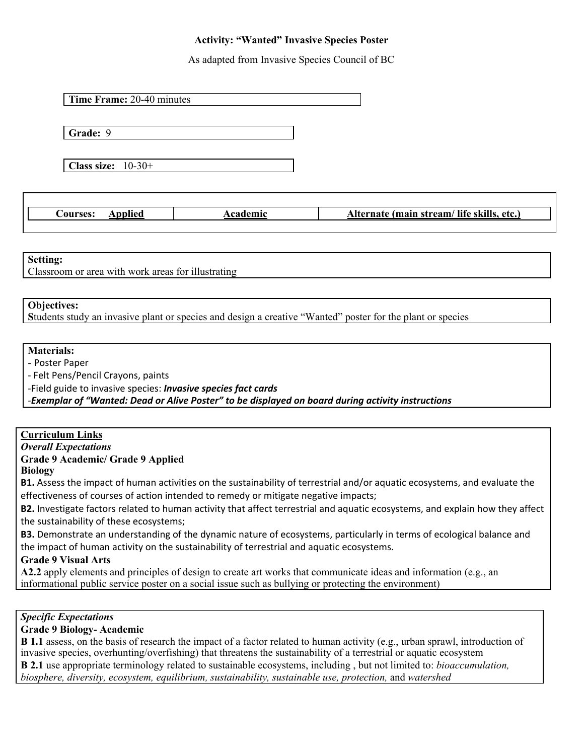# **Activity: "Wanted" Invasive Species Poster**

As adapted from Invasive Species Council of BC

**Time Frame:** 20-40 minutes

**Grade:** 9

**Class size:** 10-30+

**Courses: Applied Academic Academic Alternate** (main stream/ life skills, etc.)

#### **Setting:**

Classroom or area with work areas for illustrating

#### **Objectives:**

**S**tudents study an invasive plant or species and design a creative "Wanted" poster for the plant or species

## **Materials:**

- Poster Paper

- Felt Pens/Pencil Crayons, paints

-Field guide to invasive species: *Invasive species fact cards*

*-Exemplar of "Wanted: Dead or Alive Poster" to be displayed on board during activity instructions*

## **Curriculum Links**

### *Overall Expectations*

**Grade 9 Academic/ Grade 9 Applied**

**Biology**

**B1.** Assess the impact of human activities on the sustainability of terrestrial and/or aquatic ecosystems, and evaluate the effectiveness of courses of action intended to remedy or mitigate negative impacts;

**B2.** Investigate factors related to human activity that affect terrestrial and aquatic ecosystems, and explain how they affect the sustainability of these ecosystems;

**B3.** Demonstrate an understanding of the dynamic nature of ecosystems, particularly in terms of ecological balance and the impact of human activity on the sustainability of terrestrial and aquatic ecosystems.

### **Grade 9 Visual Arts**

**A2.2** apply elements and principles of design to create art works that communicate ideas and information (e.g., an informational public service poster on a social issue such as bullying or protecting the environment)

## *Specific Expectations*

### **Grade 9 Biology- Academic**

**B 1.1** assess, on the basis of research the impact of a factor related to human activity (e.g., urban sprawl, introduction of invasive species, overhunting/overfishing) that threatens the sustainability of a terrestrial or aquatic ecosystem **B 2.1** use appropriate terminology related to sustainable ecosystems, including , but not limited to: *bioaccumulation, biosphere, diversity, ecosystem, equilibrium, sustainability, sustainable use, protection,* and *watershed*